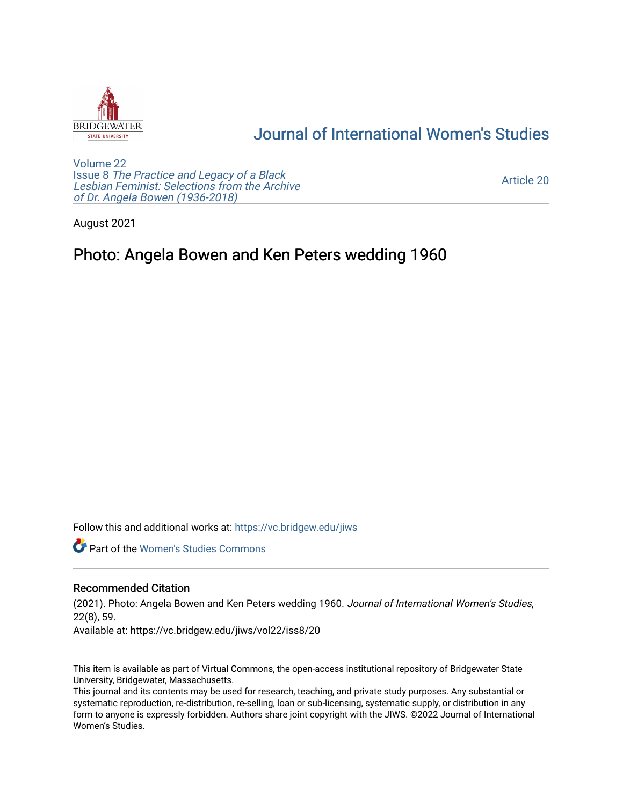

## [Journal of International Women's Studies](https://vc.bridgew.edu/jiws)

[Volume 22](https://vc.bridgew.edu/jiws/vol22) Issue 8 [The Practice and Legacy of a Black](https://vc.bridgew.edu/jiws/vol22/iss8)  [Lesbian Feminist: Selections from the Archive](https://vc.bridgew.edu/jiws/vol22/iss8)  [of Dr. Angela Bowen \(1936-2018\)](https://vc.bridgew.edu/jiws/vol22/iss8)

[Article 20](https://vc.bridgew.edu/jiws/vol22/iss8/20) 

August 2021

## Photo: Angela Bowen and Ken Peters wedding 1960

Follow this and additional works at: [https://vc.bridgew.edu/jiws](https://vc.bridgew.edu/jiws?utm_source=vc.bridgew.edu%2Fjiws%2Fvol22%2Fiss8%2F20&utm_medium=PDF&utm_campaign=PDFCoverPages)

**C** Part of the Women's Studies Commons

## Recommended Citation

(2021). Photo: Angela Bowen and Ken Peters wedding 1960. Journal of International Women's Studies, 22(8), 59.

Available at: https://vc.bridgew.edu/jiws/vol22/iss8/20

This item is available as part of Virtual Commons, the open-access institutional repository of Bridgewater State University, Bridgewater, Massachusetts.

This journal and its contents may be used for research, teaching, and private study purposes. Any substantial or systematic reproduction, re-distribution, re-selling, loan or sub-licensing, systematic supply, or distribution in any form to anyone is expressly forbidden. Authors share joint copyright with the JIWS. ©2022 Journal of International Women's Studies.